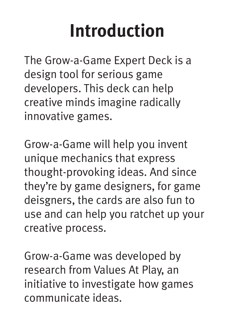## **Introduction**

The Grow-a-Game Expert Deck is a design tool for serious game developers. This deck can help creative minds imagine radically innovative games.

Grow-a-Game will help you invent unique mechanics that express thought-provoking ideas. And since they're by game designers, for game deisgners, the cards are also fun to use and can help you ratchet up your creative process.

Grow-a-Game was developed by research from Values At Play, an initiative to investigate how games communicate ideas.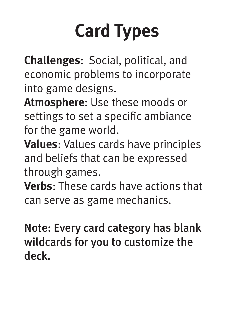## **Card Types**

**Challenges**: Social, political, and economic problems to incorporate into game designs.

**Atmosphere**: Use these moods or settings to set a specific ambiance for the game world.

**Values**: Values cards have principles and beliefs that can be expressed through games.

**Verbs**: These cards have actions that can serve as game mechanics.

Note: Every card category has blank wildcards for you to customize the deck.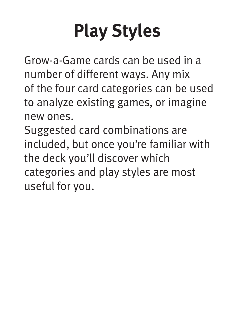# **Play Styles**

Grow-a-Game cards can be used in a number of different ways. Any mix of the four card categories can be used to analyze existing games, or imagine new ones.

Suggested card combinations are included, but once you're familiar with the deck you'll discover which categories and play styles are most useful for you.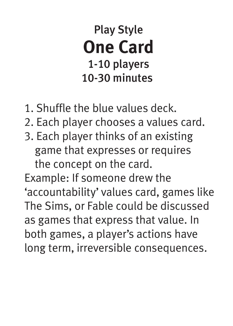Play Style **One Card** 1-10 players 10-30 minutes

- 1. Shuffle the blue values deck.
- 2. Each player chooses a values card.
- 3. Each player thinks of an existing game that expresses or requires the concept on the card.

Example: If someone drew the 'accountability' values card, games like The Sims, or Fable could be discussed as games that express that value. In both games, a player's actions have long term, irreversible consequences.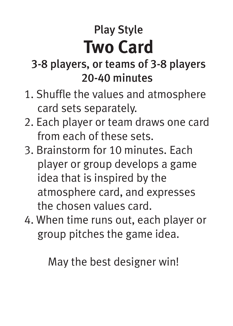### Play Style **Two Card**

#### 3-8 players, or teams of 3-8 players 20-40 minutes

- 1. Shuffle the values and atmosphere card sets separately.
- 2. Each player or team draws one card from each of these sets.
- 3. Brainstorm for 10 minutes. Each player or group develops a game idea that is inspired by the atmosphere card, and expresses the chosen values card.
- 4. When time runs out, each player or group pitches the game idea.

May the best designer win!